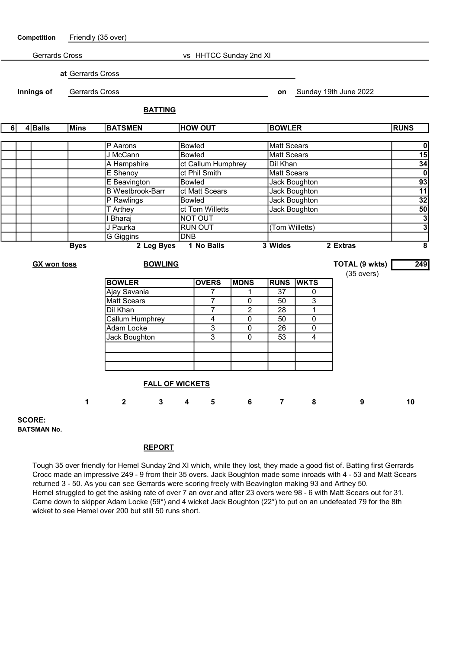

BATSMAN No.

## REPORT

Tough 35 over friendly for Hemel Sunday 2nd XI which, while they lost, they made a good fist of. Batting first Gerrards Crocc made an impressive 249 - 9 from their 35 overs. Jack Boughton made some inroads with 4 - 53 and Matt Scears returned 3 - 50. As you can see Gerrards were scoring freely with Beavington making 93 and Arthey 50. Hemel struggled to get the asking rate of over 7 an over.and after 23 overs were 98 - 6 with Matt Scears out for 31. Came down to skipper Adam Locke (59\*) and 4 wicket Jack Boughton (22\*) to put on an undefeated 79 for the 8th wicket to see Hemel over 200 but still 50 runs short.